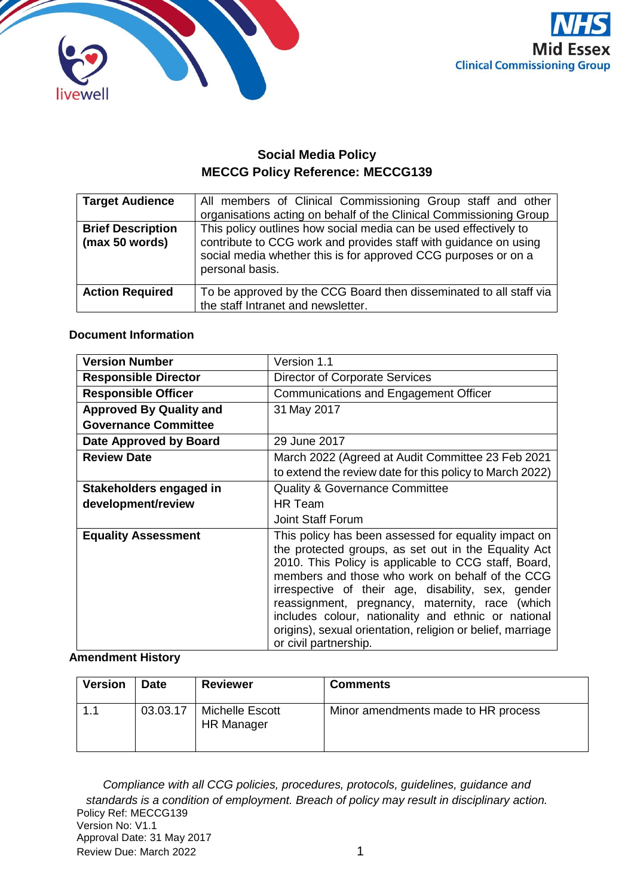



# **Social Media Policy MECCG Policy Reference: MECCG139**

| <b>Target Audience</b>                     | All members of Clinical Commissioning Group staff and other<br>organisations acting on behalf of the Clinical Commissioning Group                                                                                         |
|--------------------------------------------|---------------------------------------------------------------------------------------------------------------------------------------------------------------------------------------------------------------------------|
| <b>Brief Description</b><br>(max 50 words) | This policy outlines how social media can be used effectively to<br>contribute to CCG work and provides staff with guidance on using<br>social media whether this is for approved CCG purposes or on a<br>personal basis. |
| <b>Action Required</b>                     | To be approved by the CCG Board then disseminated to all staff via<br>the staff Intranet and newsletter.                                                                                                                  |

#### **Document Information**

| <b>Version Number</b>          | Version 1.1                                                                                                                                                                                                                                                                                                                                                                                                                                                                    |  |
|--------------------------------|--------------------------------------------------------------------------------------------------------------------------------------------------------------------------------------------------------------------------------------------------------------------------------------------------------------------------------------------------------------------------------------------------------------------------------------------------------------------------------|--|
| <b>Responsible Director</b>    | <b>Director of Corporate Services</b>                                                                                                                                                                                                                                                                                                                                                                                                                                          |  |
| <b>Responsible Officer</b>     | Communications and Engagement Officer                                                                                                                                                                                                                                                                                                                                                                                                                                          |  |
| <b>Approved By Quality and</b> | 31 May 2017                                                                                                                                                                                                                                                                                                                                                                                                                                                                    |  |
| <b>Governance Committee</b>    |                                                                                                                                                                                                                                                                                                                                                                                                                                                                                |  |
| Date Approved by Board         | 29 June 2017                                                                                                                                                                                                                                                                                                                                                                                                                                                                   |  |
| <b>Review Date</b>             | March 2022 (Agreed at Audit Committee 23 Feb 2021                                                                                                                                                                                                                                                                                                                                                                                                                              |  |
|                                | to extend the review date for this policy to March 2022)                                                                                                                                                                                                                                                                                                                                                                                                                       |  |
| Stakeholders engaged in        | <b>Quality &amp; Governance Committee</b>                                                                                                                                                                                                                                                                                                                                                                                                                                      |  |
| development/review             | HR Team                                                                                                                                                                                                                                                                                                                                                                                                                                                                        |  |
|                                | <b>Joint Staff Forum</b>                                                                                                                                                                                                                                                                                                                                                                                                                                                       |  |
| <b>Equality Assessment</b>     | This policy has been assessed for equality impact on<br>the protected groups, as set out in the Equality Act<br>2010. This Policy is applicable to CCG staff, Board,<br>members and those who work on behalf of the CCG<br>irrespective of their age, disability, sex, gender<br>reassignment, pregnancy, maternity, race (which<br>includes colour, nationality and ethnic or national<br>origins), sexual orientation, religion or belief, marriage<br>or civil partnership. |  |

#### **Amendment History**

| <b>Version</b> | <b>Date</b> | <b>Reviewer</b>                      | <b>Comments</b>                     |
|----------------|-------------|--------------------------------------|-------------------------------------|
| 1.1            | 03.03.17    | Michelle Escott<br><b>HR Manager</b> | Minor amendments made to HR process |

Policy Ref: MECCG139 Version No: V1.1 Approval Date: 31 May 2017 Review Due: March 2022 1 *Compliance with all CCG policies, procedures, protocols, guidelines, guidance and standards is a condition of employment. Breach of policy may result in disciplinary action.*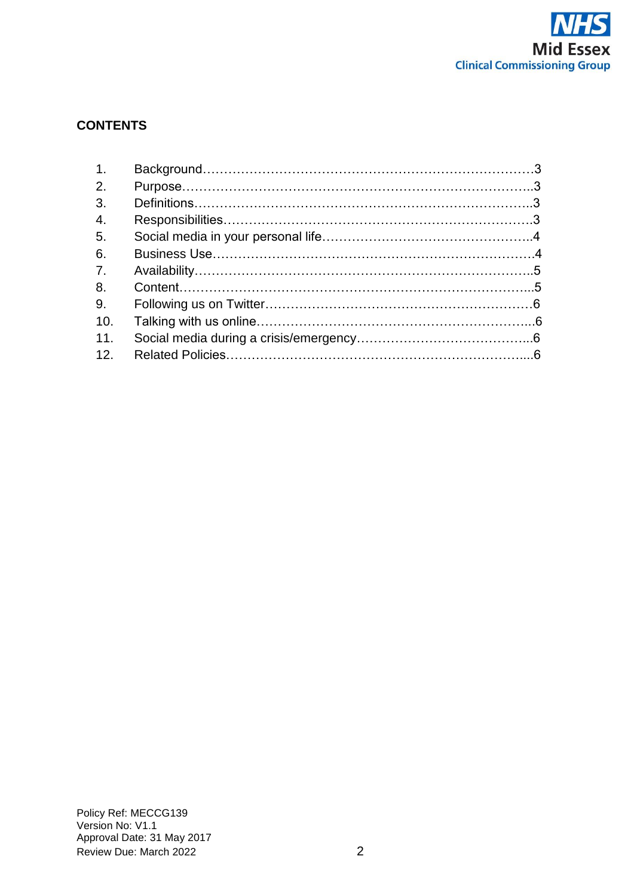

# **CONTENTS**

| 1 <sub>1</sub> |  |
|----------------|--|
| 2.             |  |
| 3.             |  |
| 4.             |  |
| 5.             |  |
| 6.             |  |
| 7 <sub>1</sub> |  |
| 8.             |  |
| 9.             |  |
| 10.            |  |
| 11.            |  |
| 12.            |  |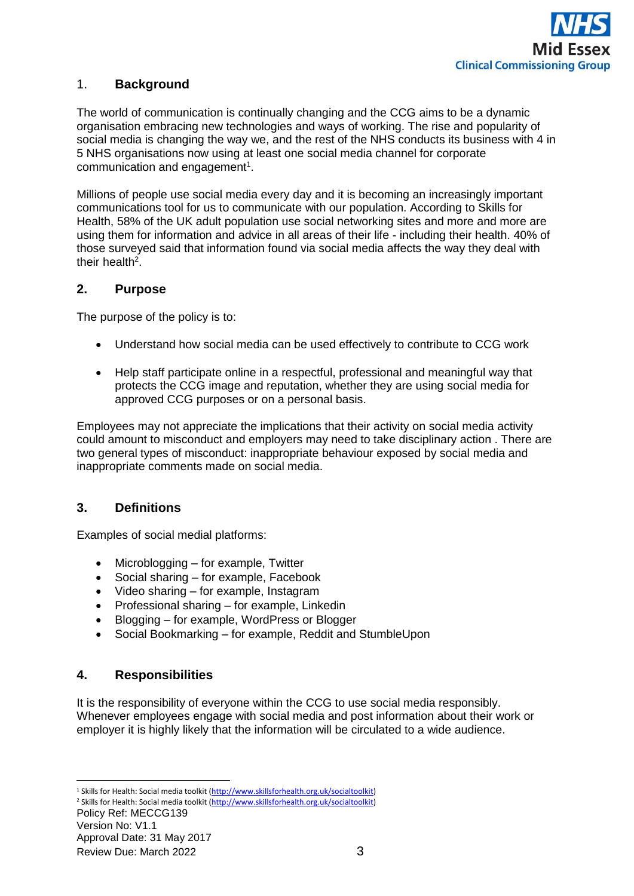

# 1. **Background**

The world of communication is continually changing and the CCG aims to be a dynamic organisation embracing new technologies and ways of working. The rise and popularity of social media is changing the way we, and the rest of the NHS conducts its business with 4 in 5 NHS organisations now using at least one social media channel for corporate communication and engagement<sup>1</sup>.

Millions of people use social media every day and it is becoming an increasingly important communications tool for us to communicate with our population. According to Skills for Health, 58% of the UK adult population use social networking sites and more and more are using them for information and advice in all areas of their life - including their health. 40% of those surveyed said that information found via social media affects the way they deal with their health<sup>2</sup>.

### **2. Purpose**

The purpose of the policy is to:

- Understand how social media can be used effectively to contribute to CCG work
- Help staff participate online in a respectful, professional and meaningful way that protects the CCG image and reputation, whether they are using social media for approved CCG purposes or on a personal basis.

Employees may not appreciate the implications that their activity on social media activity could amount to misconduct and employers may need to take disciplinary action . There are two general types of misconduct: inappropriate behaviour exposed by social media and inappropriate comments made on social media.

# **3. Definitions**

Examples of social medial platforms:

- Microblogging for example, Twitter
- Social sharing for example, Facebook
- Video sharing for example, Instagram
- Professional sharing for example, Linkedin
- Blogging for example, WordPress or Blogger
- Social Bookmarking for example, Reddit and StumbleUpon

#### **4. Responsibilities**

It is the responsibility of everyone within the CCG to use social media responsibly. Whenever employees engage with social media and post information about their work or employer it is highly likely that the information will be circulated to a wide audience.

 $\overline{a}$ <sup>1</sup> Skills for Health: Social media toolkit [\(http://www.skillsforhealth.org.uk/socialtoolkit\)](http://www.skillsforhealth.org.uk/socialtoolkit) <sup>2</sup> Skills for Health: Social media toolkit [\(http://www.skillsforhealth.org.uk/socialtoolkit\)](http://www.skillsforhealth.org.uk/socialtoolkit)

Policy Ref: MECCG139 Version No: V1.1 Approval Date: 31 May 2017 Review Due: March 2022 3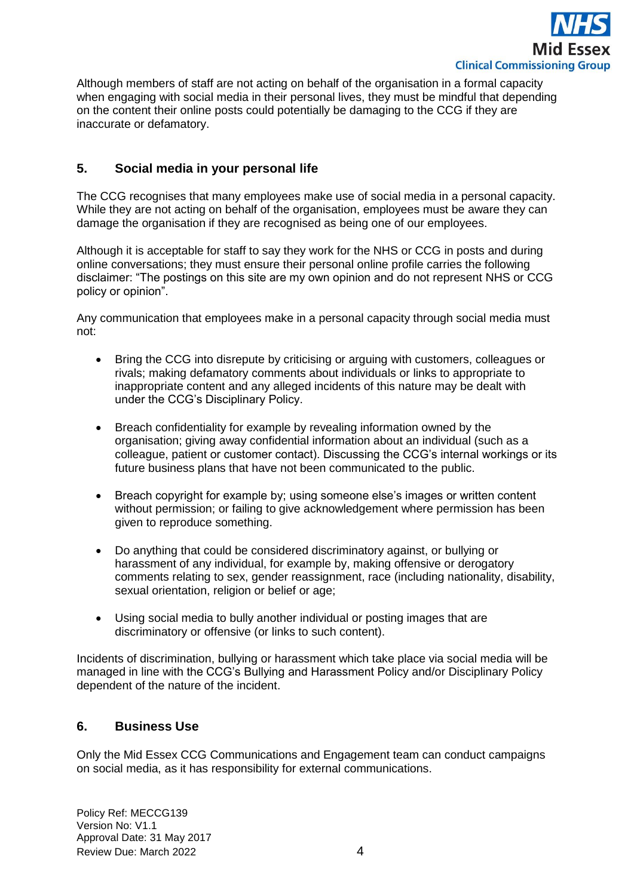

Although members of staff are not acting on behalf of the organisation in a formal capacity when engaging with social media in their personal lives, they must be mindful that depending on the content their online posts could potentially be damaging to the CCG if they are inaccurate or defamatory.

## **5. Social media in your personal life**

The CCG recognises that many employees make use of social media in a personal capacity. While they are not acting on behalf of the organisation, employees must be aware they can damage the organisation if they are recognised as being one of our employees.

Although it is acceptable for staff to say they work for the NHS or CCG in posts and during online conversations; they must ensure their personal online profile carries the following disclaimer: "The postings on this site are my own opinion and do not represent NHS or CCG policy or opinion".

Any communication that employees make in a personal capacity through social media must not:

- Bring the CCG into disrepute by criticising or arguing with customers, colleagues or rivals; making defamatory comments about individuals or links to appropriate to inappropriate content and any alleged incidents of this nature may be dealt with under the CCG's Disciplinary Policy.
- Breach confidentiality for example by revealing information owned by the organisation; giving away confidential information about an individual (such as a colleague, patient or customer contact). Discussing the CCG's internal workings or its future business plans that have not been communicated to the public.
- Breach copyright for example by; using someone else's images or written content without permission; or failing to give acknowledgement where permission has been given to reproduce something.
- Do anything that could be considered discriminatory against, or bullying or harassment of any individual, for example by, making offensive or derogatory comments relating to sex, gender reassignment, race (including nationality, disability, sexual orientation, religion or belief or age;
- Using social media to bully another individual or posting images that are discriminatory or offensive (or links to such content).

Incidents of discrimination, bullying or harassment which take place via social media will be managed in line with the CCG's Bullying and Harassment Policy and/or Disciplinary Policy dependent of the nature of the incident.

### **6. Business Use**

Only the Mid Essex CCG Communications and Engagement team can conduct campaigns on social media, as it has responsibility for external communications.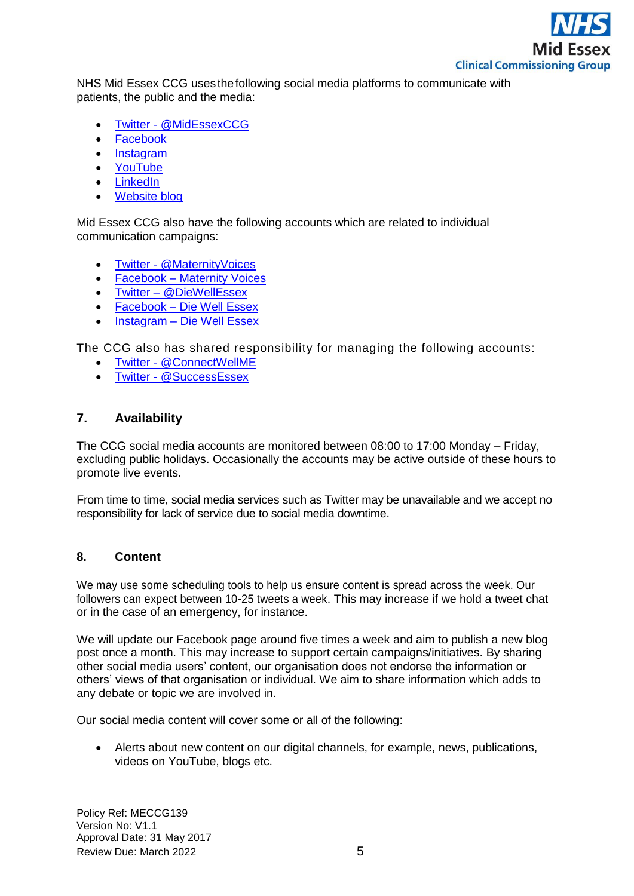

NHS Mid Essex CCG uses thefollowing social media platforms to communicate with patients, the public and the media:

- [Twitter](https://twitter.com/MidEssexCCG) @MidEssexCCG
- [Facebook](https://www.facebook.com/CCGMidEssex/)
- [Instagram](https://www.instagram.com/midessexccg/?hl=en)
- [YouTube](https://www.youtube.com/channel/UCjNe3R6RaZDxaD5tOxZzYmA)
- [LinkedIn](https://www.linkedin.com/company/nhs-mid-essex-ccg?trk=biz-companies-cym)
- [Website blog](http://midessexccg.nhs.uk/news/gp-blog)

Mid Essex CCG also have the following accounts which are related to individual communication campaigns:

- Twitter [@MaternityVoices](https://twitter.com/maternityvoices)
- Facebook [Maternity Voices](https://www.facebook.com/midessexmaternity/)
- Twitter [@DieWellEssex](https://twitter.com/diewellessex)
- Facebook [Die Well Essex](https://www.facebook.com/Die-Well-Essex-167133543800992/)
- Instagram [Die Well Essex](https://www.instagram.com/diewellessex/)

The CCG also has shared responsibility for managing the following accounts:

- Twitter [@ConnectWellME](https://twitter.com/connectwellme)
- Twitter [@SuccessEssex](https://twitter.com/successessex?lang=en)

## **7. Availability**

The CCG social media accounts are monitored between 08:00 to 17:00 Monday – Friday, excluding public holidays. Occasionally the accounts may be active outside of these hours to promote live events.

From time to time, social media services such as Twitter may be unavailable and we accept no responsibility for lack of service due to social media downtime.

### **8. Content**

We may use some scheduling tools to help us ensure content is spread across the week. Our followers can expect between 10-25 tweets a week. This may increase if we hold a tweet chat or in the case of an emergency, for instance.

We will update our Facebook page around five times a week and aim to publish a new blog post once a month. This may increase to support certain campaigns/initiatives. By sharing other social media users' content, our organisation does not endorse the information or others' views of that organisation or individual. We aim to share information which adds to any debate or topic we are involved in.

Our social media content will cover some or all of the following:

• Alerts about new content on our digital channels, for example, news, publications, videos on YouTube, blogs etc.